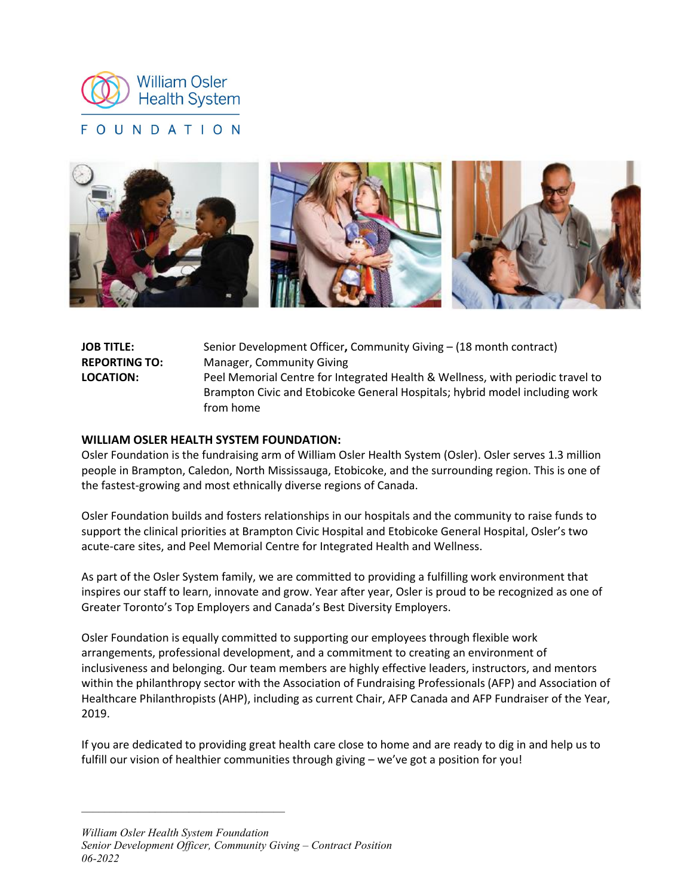

# FOUNDATION



| <b>JOB TITLE:</b>    | Senior Development Officer, Community Giving - (18 month contract)             |
|----------------------|--------------------------------------------------------------------------------|
| <b>REPORTING TO:</b> | Manager, Community Giving                                                      |
| <b>LOCATION:</b>     | Peel Memorial Centre for Integrated Health & Wellness, with periodic travel to |
|                      | Brampton Civic and Etobicoke General Hospitals; hybrid model including work    |
|                      | from home                                                                      |

#### **WILLIAM OSLER HEALTH SYSTEM FOUNDATION:**

Osler Foundation is the fundraising arm of William Osler Health System (Osler). Osler serves 1.3 million people in Brampton, Caledon, North Mississauga, Etobicoke, and the surrounding region. This is one of the fastest-growing and most ethnically diverse regions of Canada.

Osler Foundation builds and fosters relationships in our hospitals and the community to raise funds to support the clinical priorities at Brampton Civic Hospital and Etobicoke General Hospital, Osler's two acute-care sites, and Peel Memorial Centre for Integrated Health and Wellness.

As part of the Osler System family, we are committed to providing a fulfilling work environment that inspires our staff to learn, innovate and grow. Year after year, Osler is proud to be recognized as one of Greater Toronto's Top Employers and Canada's Best Diversity Employers.

Osler Foundation is equally committed to supporting our employees through flexible work arrangements, professional development, and a commitment to creating an environment of inclusiveness and belonging. Our team members are highly effective leaders, instructors, and mentors within the philanthropy sector with the Association of Fundraising Professionals (AFP) and Association of Healthcare Philanthropists (AHP), including as current Chair, AFP Canada and AFP Fundraiser of the Year, 2019.

If you are dedicated to providing great health care close to home and are ready to dig in and help us to fulfill our vision of healthier communities through giving – we've got a position for you!

 $\mathcal{L}=\{1,2,3,4,5\}$ 

*William Osler Health System Foundation Senior Development Officer, Community Giving – Contract Position 06-2022*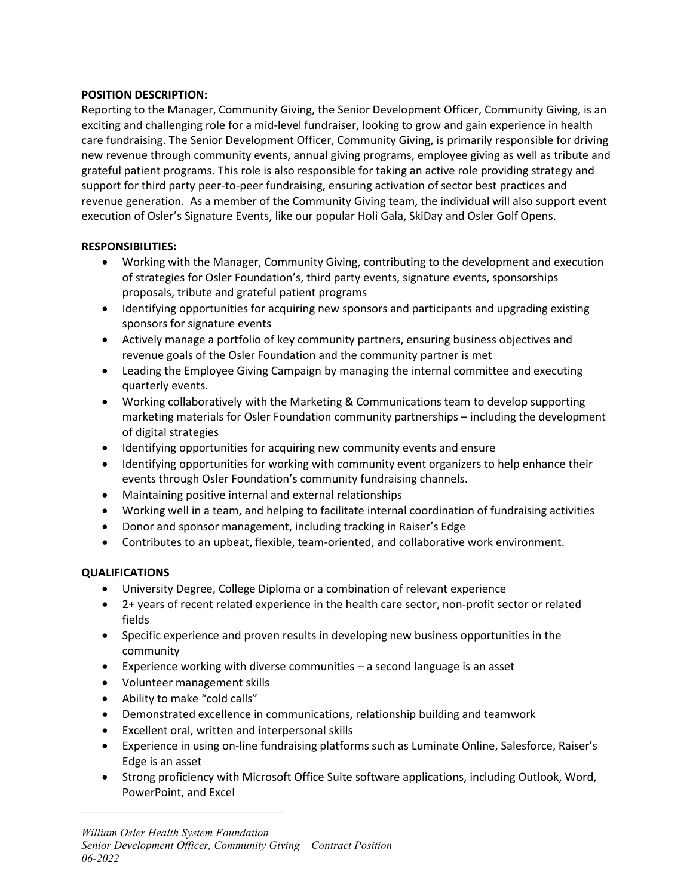## **POSITION DESCRIPTION:**

Reporting to the Manager, Community Giving, the Senior Development Officer, Community Giving, is an exciting and challenging role for a mid-level fundraiser, looking to grow and gain experience in health care fundraising. The Senior Development Officer, Community Giving, is primarily responsible for driving new revenue through community events, annual giving programs, employee giving as well as tribute and grateful patient programs. This role is also responsible for taking an active role providing strategy and support for third party peer-to-peer fundraising, ensuring activation of sector best practices and revenue generation. As a member of the Community Giving team, the individual will also support event execution of Osler's Signature Events, like our popular Holi Gala, SkiDay and Osler Golf Opens.

### **RESPONSIBILITIES:**

- Working with the Manager, Community Giving, contributing to the development and execution of strategies for Osler Foundation's, third party events, signature events, sponsorships proposals, tribute and grateful patient programs
- Identifying opportunities for acquiring new sponsors and participants and upgrading existing sponsors for signature events
- Actively manage a portfolio of key community partners, ensuring business objectives and revenue goals of the Osler Foundation and the community partner is met
- Leading the Employee Giving Campaign by managing the internal committee and executing quarterly events.
- Working collaboratively with the Marketing & Communications team to develop supporting marketing materials for Osler Foundation community partnerships – including the development of digital strategies
- Identifying opportunities for acquiring new community events and ensure
- Identifying opportunities for working with community event organizers to help enhance their events through Osler Foundation's community fundraising channels.
- Maintaining positive internal and external relationships
- Working well in a team, and helping to facilitate internal coordination of fundraising activities
- Donor and sponsor management, including tracking in Raiser's Edge
- Contributes to an upbeat, flexible, team-oriented, and collaborative work environment.

## **QUALIFICATIONS**

- University Degree, College Diploma or a combination of relevant experience
- 2+ years of recent related experience in the health care sector, non-profit sector or related fields
- Specific experience and proven results in developing new business opportunities in the community
- Experience working with diverse communities a second language is an asset
- Volunteer management skills
- Ability to make "cold calls"

 $\mathcal{L}=\{1,2,3,4,5\}$ 

- Demonstrated excellence in communications, relationship building and teamwork
- Excellent oral, written and interpersonal skills
- Experience in using on-line fundraising platforms such as Luminate Online, Salesforce, Raiser's Edge is an asset
- Strong proficiency with Microsoft Office Suite software applications, including Outlook, Word, PowerPoint, and Excel